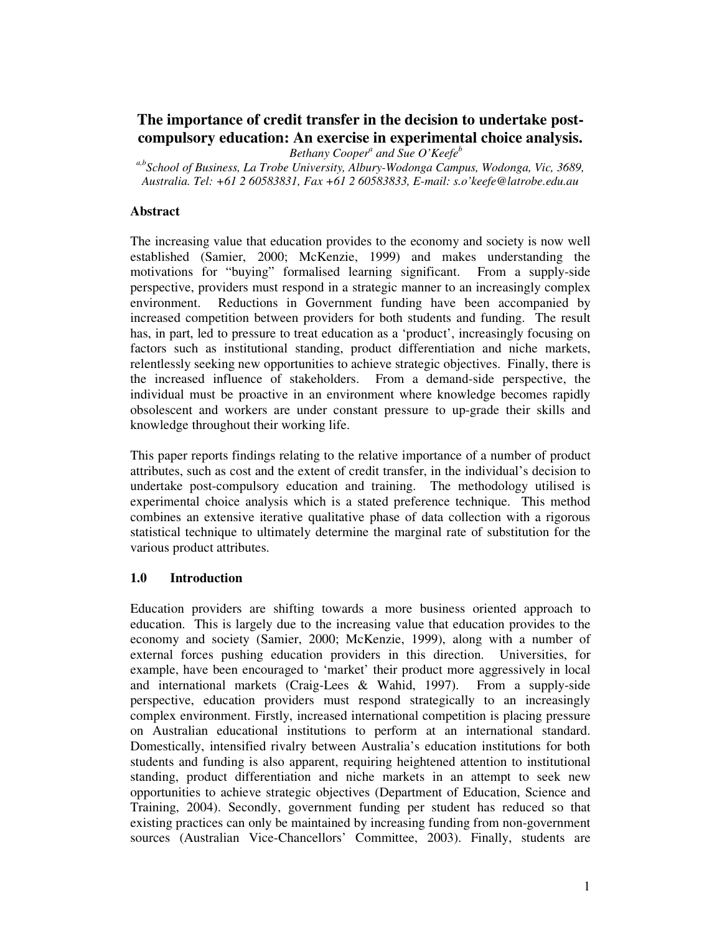# **The importance of credit transfer in the decision to undertake postcompulsory education: An exercise in experimental choice analysis.**

*Bethany Cooper a and Sue O'Keefe b*

*a,b School of Business, La Trobe University, Albury-Wodonga Campus, Wodonga, Vic, 3689, Australia. Tel: +61 2 60583831, Fax +61 2 60583833, E-mail: s.o'keefe@latrobe.edu.au*

### **Abstract**

The increasing value that education provides to the economy and society is now well established (Samier, 2000; McKenzie, 1999) and makes understanding the motivations for "buying" formalised learning significant. From a supply-side perspective, providers must respond in a strategic manner to an increasingly complex environment. Reductions in Government funding have been accompanied by increased competition between providers for both students and funding. The result has, in part, led to pressure to treat education as a 'product', increasingly focusing on factors such as institutional standing, product differentiation and niche markets, relentlessly seeking new opportunities to achieve strategic objectives. Finally, there is the increased influence of stakeholders. From a demand-side perspective, the individual must be proactive in an environment where knowledge becomes rapidly obsolescent and workers are under constant pressure to up-grade their skills and knowledge throughout their working life.

This paper reports findings relating to the relative importance of a number of product attributes, such as cost and the extent of credit transfer, in the individual's decision to undertake post-compulsory education and training. The methodology utilised is experimental choice analysis which is a stated preference technique. This method combines an extensive iterative qualitative phase of data collection with a rigorous statistical technique to ultimately determine the marginal rate of substitution for the various product attributes.

#### **1.0 Introduction**

Education providers are shifting towards a more business oriented approach to education. This is largely due to the increasing value that education provides to the economy and society (Samier, 2000; McKenzie, 1999), along with a number of external forces pushing education providers in this direction. Universities, for example, have been encouraged to 'market' their product more aggressively in local and international markets (Craig-Lees & Wahid, 1997). From a supply-side perspective, education providers must respond strategically to an increasingly complex environment. Firstly, increased international competition is placing pressure on Australian educational institutions to perform at an international standard. Domestically, intensified rivalry between Australia's education institutions for both students and funding is also apparent, requiring heightened attention to institutional standing, product differentiation and niche markets in an attempt to seek new opportunities to achieve strategic objectives (Department of Education, Science and Training, 2004). Secondly, government funding per student has reduced so that existing practices can only be maintained by increasing funding from non-government sources (Australian Vice-Chancellors' Committee, 2003). Finally, students are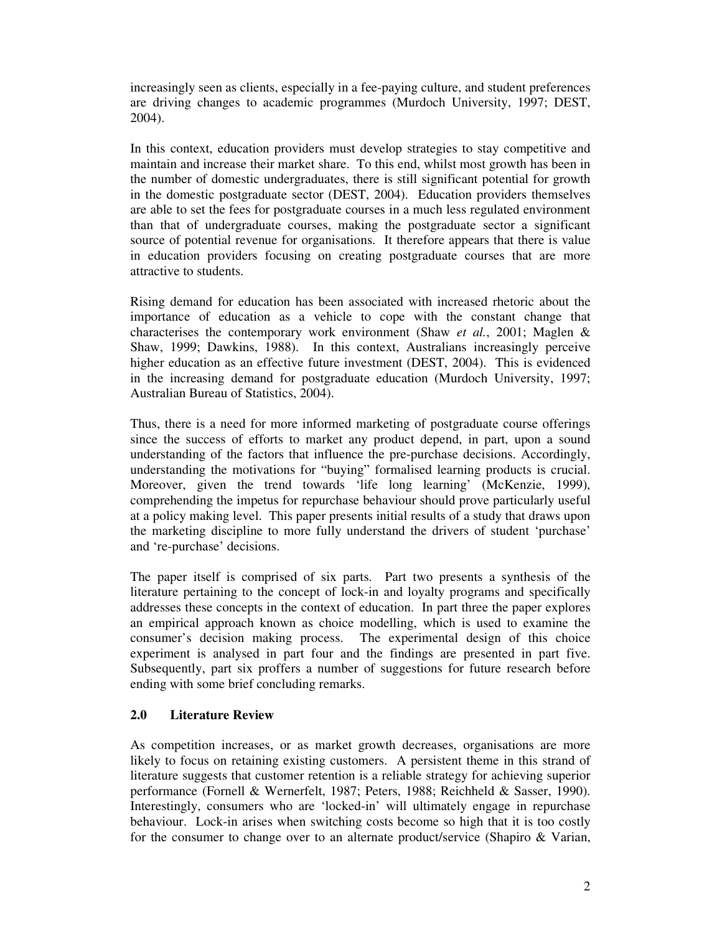increasingly seen as clients, especially in a fee-paying culture, and student preferences are driving changes to academic programmes (Murdoch University, 1997; DEST, 2004).

In this context, education providers must develop strategies to stay competitive and maintain and increase their market share. To this end, whilst most growth has been in the number of domestic undergraduates, there is still significant potential for growth in the domestic postgraduate sector (DEST, 2004). Education providers themselves are able to set the fees for postgraduate courses in a much less regulated environment than that of undergraduate courses, making the postgraduate sector a significant source of potential revenue for organisations. It therefore appears that there is value in education providers focusing on creating postgraduate courses that are more attractive to students.

Rising demand for education has been associated with increased rhetoric about the importance of education as a vehicle to cope with the constant change that characterises the contemporary work environment (Shaw *et al.*, 2001; Maglen & Shaw, 1999; Dawkins, 1988). In this context, Australians increasingly perceive higher education as an effective future investment (DEST, 2004). This is evidenced in the increasing demand for postgraduate education (Murdoch University, 1997; Australian Bureau of Statistics, 2004).

Thus, there is a need for more informed marketing of postgraduate course offerings since the success of efforts to market any product depend, in part, upon a sound understanding of the factors that influence the pre-purchase decisions. Accordingly, understanding the motivations for "buying" formalised learning products is crucial. Moreover, given the trend towards 'life long learning' (McKenzie, 1999), comprehending the impetus for repurchase behaviour should prove particularly useful at a policy making level. This paper presents initial results of a study that draws upon the marketing discipline to more fully understand the drivers of student 'purchase' and 're-purchase' decisions.

The paper itself is comprised of six parts. Part two presents a synthesis of the literature pertaining to the concept of lock-in and loyalty programs and specifically addresses these concepts in the context of education. In part three the paper explores an empirical approach known as choice modelling, which is used to examine the consumer's decision making process. The experimental design of this choice experiment is analysed in part four and the findings are presented in part five. Subsequently, part six proffers a number of suggestions for future research before ending with some brief concluding remarks.

### **2.0 Literature Review**

As competition increases, or as market growth decreases, organisations are more likely to focus on retaining existing customers. A persistent theme in this strand of literature suggests that customer retention is a reliable strategy for achieving superior performance (Fornell & Wernerfelt, 1987; Peters, 1988; Reichheld & Sasser, 1990). Interestingly, consumers who are 'locked-in' will ultimately engage in repurchase behaviour. Lock-in arises when switching costs become so high that it is too costly for the consumer to change over to an alternate product/service (Shapiro & Varian,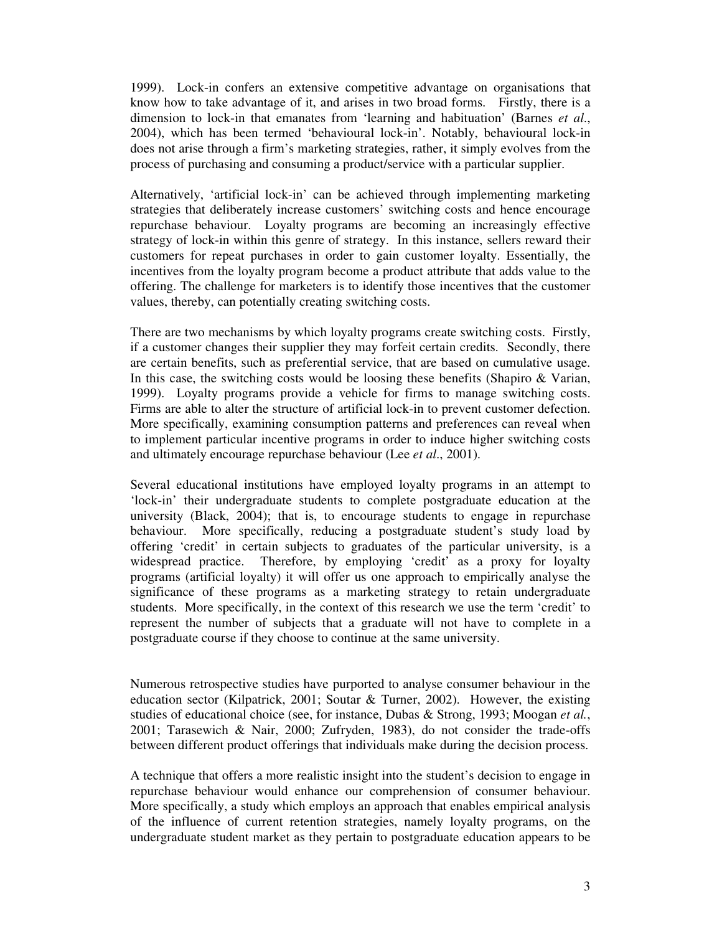1999). Lock-in confers an extensive competitive advantage on organisations that know how to take advantage of it, and arises in two broad forms. Firstly, there is a dimension to lock-in that emanates from 'learning and habituation' (Barnes *et al*., 2004), which has been termed 'behavioural lock-in'. Notably, behavioural lock-in does not arise through a firm's marketing strategies, rather, it simply evolves from the process of purchasing and consuming a product/service with a particular supplier.

Alternatively, 'artificial lock-in' can be achieved through implementing marketing strategies that deliberately increase customers' switching costs and hence encourage repurchase behaviour. Loyalty programs are becoming an increasingly effective strategy of lock-in within this genre of strategy. In this instance, sellers reward their customers for repeat purchases in order to gain customer loyalty. Essentially, the incentives from the loyalty program become a product attribute that adds value to the offering. The challenge for marketers is to identify those incentives that the customer values, thereby, can potentially creating switching costs.

There are two mechanisms by which loyalty programs create switching costs. Firstly, if a customer changes their supplier they may forfeit certain credits. Secondly, there are certain benefits, such as preferential service, that are based on cumulative usage. In this case, the switching costs would be loosing these benefits (Shapiro & Varian, 1999). Loyalty programs provide a vehicle for firms to manage switching costs. Firms are able to alter the structure of artificial lock-in to prevent customer defection. More specifically, examining consumption patterns and preferences can reveal when to implement particular incentive programs in order to induce higher switching costs and ultimately encourage repurchase behaviour (Lee *et al*., 2001).

Several educational institutions have employed loyalty programs in an attempt to 'lock-in' their undergraduate students to complete postgraduate education at the university (Black, 2004); that is, to encourage students to engage in repurchase behaviour. More specifically, reducing a postgraduate student's study load by offering 'credit' in certain subjects to graduates of the particular university, is a widespread practice. Therefore, by employing 'credit' as a proxy for loyalty programs (artificial loyalty) it will offer us one approach to empirically analyse the significance of these programs as a marketing strategy to retain undergraduate students. More specifically, in the context of this research we use the term 'credit' to represent the number of subjects that a graduate will not have to complete in a postgraduate course if they choose to continue at the same university.

Numerous retrospective studies have purported to analyse consumer behaviour in the education sector (Kilpatrick, 2001; Soutar & Turner, 2002). However, the existing studies of educational choice (see, for instance, Dubas & Strong, 1993; Moogan *et al.*, 2001; Tarasewich & Nair, 2000; Zufryden, 1983), do not consider the trade-offs between different product offerings that individuals make during the decision process.

A technique that offers a more realistic insight into the student's decision to engage in repurchase behaviour would enhance our comprehension of consumer behaviour. More specifically, a study which employs an approach that enables empirical analysis of the influence of current retention strategies, namely loyalty programs, on the undergraduate student market as they pertain to postgraduate education appears to be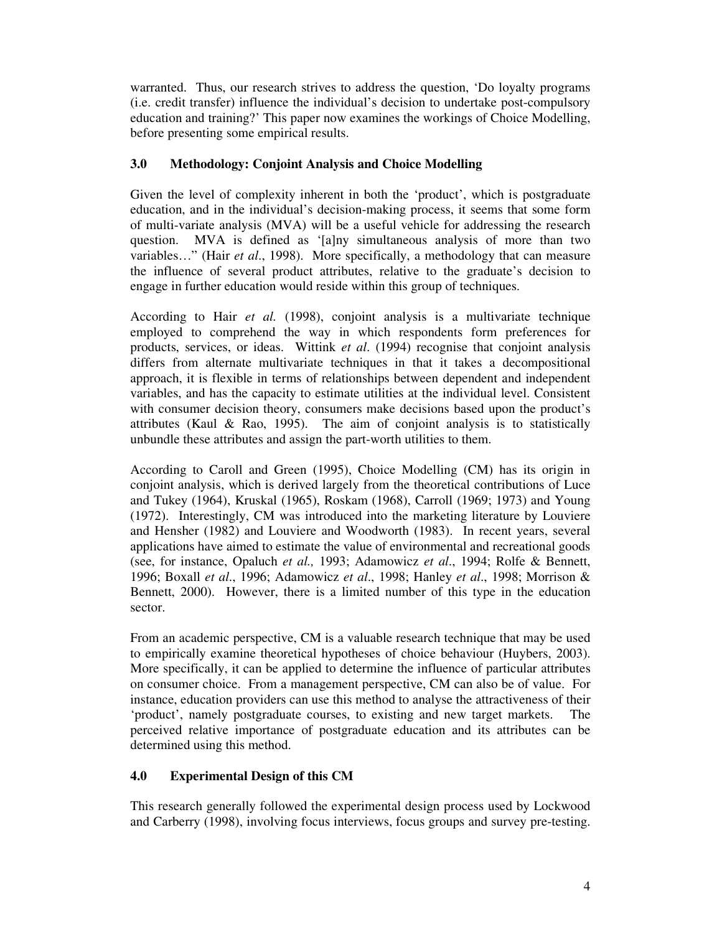warranted. Thus, our research strives to address the question, 'Do loyalty programs (i.e. credit transfer) influence the individual's decision to undertake post-compulsory education and training?' This paper now examines the workings of Choice Modelling, before presenting some empirical results.

## **3.0 Methodology: Conjoint Analysis and Choice Modelling**

Given the level of complexity inherent in both the 'product', which is postgraduate education, and in the individual's decision-making process, it seems that some form of multi-variate analysis (MVA) will be a useful vehicle for addressing the research question. MVA is defined as '[a]ny simultaneous analysis of more than two variables…" (Hair *et al*., 1998). More specifically, a methodology that can measure the influence of several product attributes, relative to the graduate's decision to engage in further education would reside within this group of techniques.

According to Hair *et al.* (1998), conjoint analysis is a multivariate technique employed to comprehend the way in which respondents form preferences for products, services, or ideas. Wittink *et al*. (1994) recognise that conjoint analysis differs from alternate multivariate techniques in that it takes a decompositional approach, it is flexible in terms of relationships between dependent and independent variables, and has the capacity to estimate utilities at the individual level. Consistent with consumer decision theory, consumers make decisions based upon the product's attributes (Kaul  $\&$  Rao, 1995). The aim of conjoint analysis is to statistically unbundle these attributes and assign the part-worth utilities to them.

According to Caroll and Green (1995), Choice Modelling (CM) has its origin in conjoint analysis, which is derived largely from the theoretical contributions of Luce and Tukey (1964), Kruskal (1965), Roskam (1968), Carroll (1969; 1973) and Young (1972). Interestingly, CM was introduced into the marketing literature by Louviere and Hensher (1982) and Louviere and Woodworth (1983). In recent years, several applications have aimed to estimate the value of environmental and recreational goods (see, for instance, Opaluch *et al.,* 1993; Adamowicz *et al*., 1994; Rolfe & Bennett, 1996; Boxall *et al*., 1996; Adamowicz *et al*., 1998; Hanley *et al*., 1998; Morrison & Bennett, 2000). However, there is a limited number of this type in the education sector.

From an academic perspective, CM is a valuable research technique that may be used to empirically examine theoretical hypotheses of choice behaviour (Huybers, 2003). More specifically, it can be applied to determine the influence of particular attributes on consumer choice. From a management perspective, CM can also be of value. For instance, education providers can use this method to analyse the attractiveness of their 'product', namely postgraduate courses, to existing and new target markets. The perceived relative importance of postgraduate education and its attributes can be determined using this method.

# **4.0 Experimental Design of this CM**

This research generally followed the experimental design process used by Lockwood and Carberry (1998), involving focus interviews, focus groups and survey pre-testing.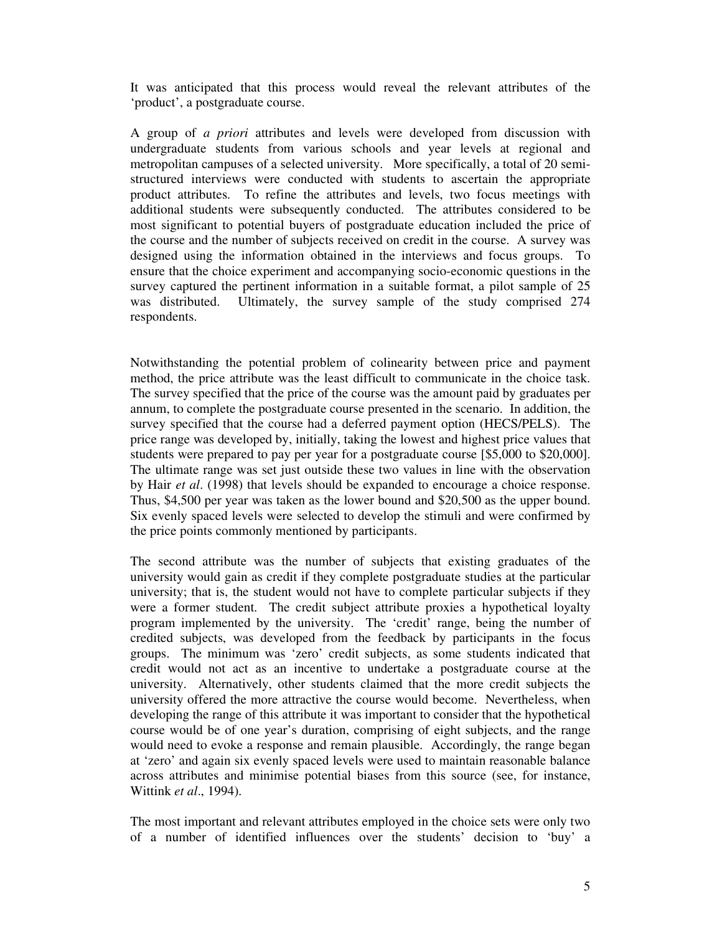It was anticipated that this process would reveal the relevant attributes of the 'product', a postgraduate course.

A group of *a priori* attributes and levels were developed from discussion with undergraduate students from various schools and year levels at regional and metropolitan campuses of a selected university. More specifically, a total of 20 semistructured interviews were conducted with students to ascertain the appropriate product attributes. To refine the attributes and levels, two focus meetings with additional students were subsequently conducted. The attributes considered to be most significant to potential buyers of postgraduate education included the price of the course and the number of subjects received on credit in the course. A survey was designed using the information obtained in the interviews and focus groups. To ensure that the choice experiment and accompanying socio-economic questions in the survey captured the pertinent information in a suitable format, a pilot sample of 25 was distributed. Ultimately, the survey sample of the study comprised 274 respondents.

Notwithstanding the potential problem of colinearity between price and payment method, the price attribute was the least difficult to communicate in the choice task. The survey specified that the price of the course was the amount paid by graduates per annum, to complete the postgraduate course presented in the scenario. In addition, the survey specified that the course had a deferred payment option (HECS/PELS). The price range was developed by, initially, taking the lowest and highest price values that students were prepared to pay per year for a postgraduate course [\$5,000 to \$20,000]. The ultimate range was set just outside these two values in line with the observation by Hair *et al*. (1998) that levels should be expanded to encourage a choice response. Thus, \$4,500 per year was taken as the lower bound and \$20,500 as the upper bound. Six evenly spaced levels were selected to develop the stimuli and were confirmed by the price points commonly mentioned by participants.

The second attribute was the number of subjects that existing graduates of the university would gain as credit if they complete postgraduate studies at the particular university; that is, the student would not have to complete particular subjects if they were a former student. The credit subject attribute proxies a hypothetical loyalty program implemented by the university. The 'credit' range, being the number of credited subjects, was developed from the feedback by participants in the focus groups. The minimum was 'zero' credit subjects, as some students indicated that credit would not act as an incentive to undertake a postgraduate course at the university. Alternatively, other students claimed that the more credit subjects the university offered the more attractive the course would become. Nevertheless, when developing the range of this attribute it was important to consider that the hypothetical course would be of one year's duration, comprising of eight subjects, and the range would need to evoke a response and remain plausible. Accordingly, the range began at 'zero' and again six evenly spaced levels were used to maintain reasonable balance across attributes and minimise potential biases from this source (see, for instance, Wittink *et al*., 1994).

The most important and relevant attributes employed in the choice sets were only two of a number of identified influences over the students' decision to 'buy' a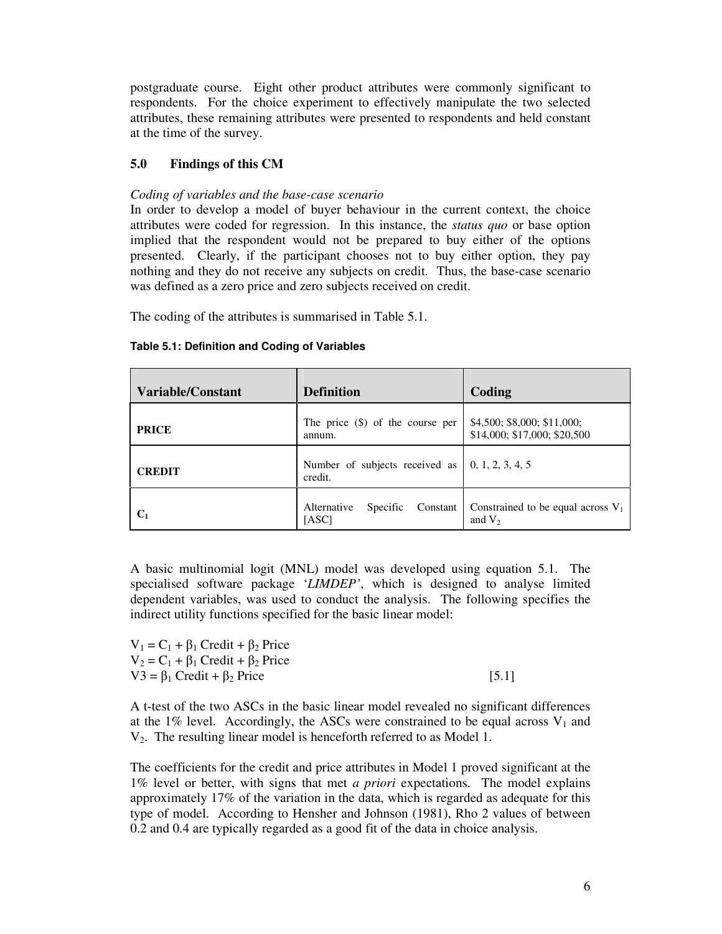postgraduate course. Eight other product attributes were commonly significant to respondents. For the choice experiment to effectively manipulate the two selected attributes, these remaining attributes were presented to respondents and held constant at the time of the survey.

### **5.0 Findings of this CM**

### *Coding of variables and the base-case scenario*

In order to develop a model of buyer behaviour in the current context, the choice attributes were coded for regression. In this instance, the *status quo* or base option implied that the respondent would not be prepared to buy either of the options presented. Clearly, if the participant chooses not to buy either option, they pay nothing and they do not receive any subjects on credit. Thus, the base-case scenario was defined as a zero price and zero subjects received on credit.

The coding of the attributes is summarised in Table 5.1.

| Variable/Constant | <b>Definition</b>                            | Coding                                                      |
|-------------------|----------------------------------------------|-------------------------------------------------------------|
| <b>PRICE</b>      | The price $(\$)$ of the course per<br>annum. | \$4,500; \$8,000; \$11,000;<br>\$14,000; \$17,000; \$20,500 |
| <b>CREDIT</b>     | Number of subjects received as<br>credit.    | $\vert 0, 1, 2, 3, 4, 5 \vert$                              |
| C <sub>1</sub>    | Alternative<br>Specific<br>Constant<br>[ASC] | Constrained to be equal across $V_1$<br>and $V_2$           |

#### **Table 5.1: Definition and Coding of Variables**

A basic multinomial logit (MNL) model was developed using equation 5.1. The specialised software package '*LIMDEP'*, which is designed to analyse limited dependent variables, was used to conduct the analysis. The following specifies the indirect utility functions specified for the basic linear model:

| $V_1 = C_1 + \beta_1$ Credit + $\beta_2$ Price |         |
|------------------------------------------------|---------|
| $V_2 = C_1 + \beta_1$ Credit + $\beta_2$ Price |         |
| $V3 = \beta_1$ Credit + $\beta_2$ Price        | $[5.1]$ |

A t-test of the two ASCs in the basic linear model revealed no significant differences at the 1% level. Accordingly, the ASCs were constrained to be equal across  $V_1$  and V2. The resulting linear model is henceforth referred to as Model 1.

The coefficients for the credit and price attributes in Model 1 proved significant at the 1% level or better, with signs that met *a priori* expectations. The model explains approximately 17% of the variation in the data, which is regarded as adequate for this type of model. According to Hensher and Johnson (1981), Rho 2 values of between 0.2 and 0.4 are typically regarded as a good fit of the data in choice analysis.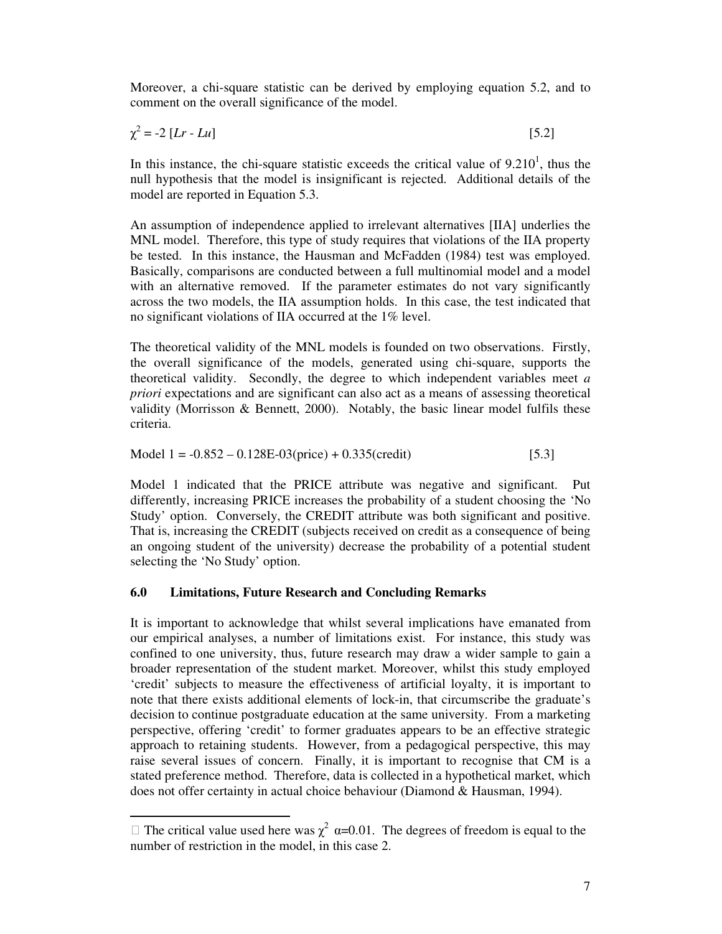Moreover, a chi-square statistic can be derived by employing equation 5.2, and to comment on the overall significance of the model.

$$
\chi^2 = -2 \left[ Lr - Lu \right] \tag{5.2}
$$

In this instance, the chi-square statistic exceeds the critical value of  $9.210<sup>1</sup>$ , thus the null hypothesis that the model is insignificant is rejected. Additional details of the model are reported in Equation 5.3.

An assumption of independence applied to irrelevant alternatives [IIA] underlies the MNL model. Therefore, this type of study requires that violations of the IIA property be tested. In this instance, the Hausman and McFadden (1984) test was employed. Basically, comparisons are conducted between a full multinomial model and a model with an alternative removed. If the parameter estimates do not vary significantly across the two models, the IIA assumption holds. In this case, the test indicated that no significant violations of IIA occurred at the 1% level.

The theoretical validity of the MNL models is founded on two observations. Firstly, the overall significance of the models, generated using chi-square, supports the theoretical validity. Secondly, the degree to which independent variables meet *a priori* expectations and are significant can also act as a means of assessing theoretical validity (Morrisson & Bennett, 2000). Notably, the basic linear model fulfils these criteria.

$$
Model 1 = -0.852 - 0.128E-03(price) + 0.335(credit)
$$
 [5.3]

Model 1 indicated that the PRICE attribute was negative and significant. Put differently, increasing PRICE increases the probability of a student choosing the 'No Study' option. Conversely, the CREDIT attribute was both significant and positive. That is, increasing the CREDIT (subjects received on credit as a consequence of being an ongoing student of the university) decrease the probability of a potential student selecting the 'No Study' option.

#### **6.0 Limitations, Future Research and Concluding Remarks**

It is important to acknowledge that whilst several implications have emanated from our empirical analyses, a number of limitations exist. For instance, this study was confined to one university, thus, future research may draw a wider sample to gain a broader representation of the student market. Moreover, whilst this study employed 'credit' subjects to measure the effectiveness of artificial loyalty, it is important to note that there exists additional elements of lock-in, that circumscribe the graduate's decision to continue postgraduate education at the same university. From a marketing perspective, offering 'credit' to former graduates appears to be an effective strategic approach to retaining students. However, from a pedagogical perspective, this may raise several issues of concern. Finally, it is important to recognise that CM is a stated preference method. Therefore, data is collected in a hypothetical market, which does not offer certainty in actual choice behaviour (Diamond & Hausman, 1994).

The critical value used here was  $\chi^2$   $\alpha$ =0.01. The degrees of freedom is equal to the number of restriction in the model, in this case 2.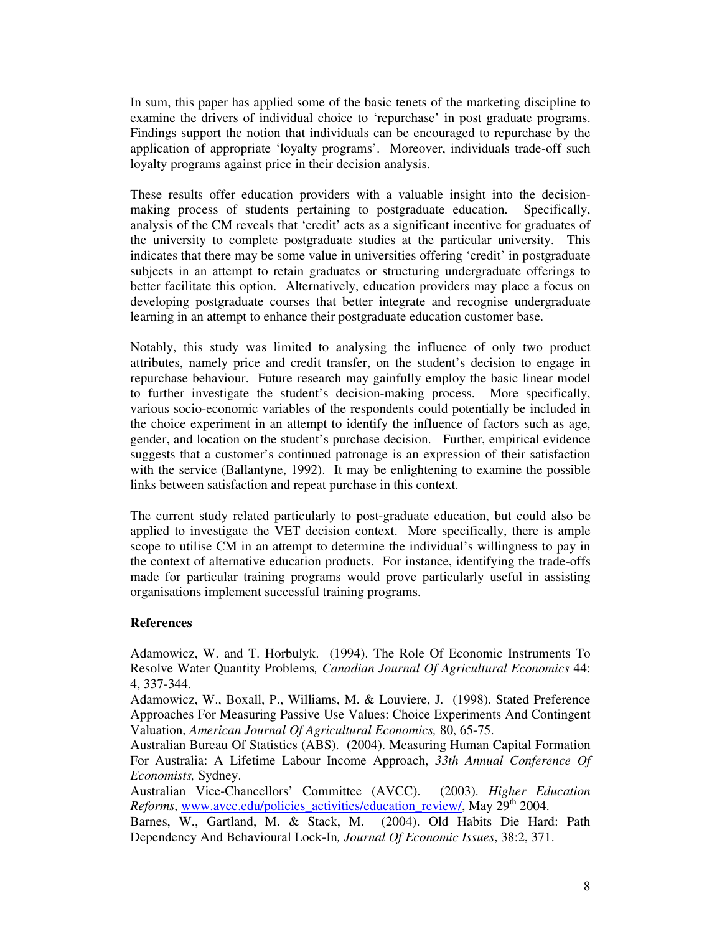In sum, this paper has applied some of the basic tenets of the marketing discipline to examine the drivers of individual choice to 'repurchase' in post graduate programs. Findings support the notion that individuals can be encouraged to repurchase by the application of appropriate 'loyalty programs'. Moreover, individuals trade-off such loyalty programs against price in their decision analysis.

These results offer education providers with a valuable insight into the decisionmaking process of students pertaining to postgraduate education. Specifically, analysis of the CM reveals that 'credit' acts as a significant incentive for graduates of the university to complete postgraduate studies at the particular university. This indicates that there may be some value in universities offering 'credit' in postgraduate subjects in an attempt to retain graduates or structuring undergraduate offerings to better facilitate this option. Alternatively, education providers may place a focus on developing postgraduate courses that better integrate and recognise undergraduate learning in an attempt to enhance their postgraduate education customer base.

Notably, this study was limited to analysing the influence of only two product attributes, namely price and credit transfer, on the student's decision to engage in repurchase behaviour. Future research may gainfully employ the basic linear model to further investigate the student's decision-making process. More specifically, various socio-economic variables of the respondents could potentially be included in the choice experiment in an attempt to identify the influence of factors such as age, gender, and location on the student's purchase decision. Further, empirical evidence suggests that a customer's continued patronage is an expression of their satisfaction with the service (Ballantyne, 1992). It may be enlightening to examine the possible links between satisfaction and repeat purchase in this context.

The current study related particularly to post-graduate education, but could also be applied to investigate the VET decision context. More specifically, there is ample scope to utilise CM in an attempt to determine the individual's willingness to pay in the context of alternative education products. For instance, identifying the trade-offs made for particular training programs would prove particularly useful in assisting organisations implement successful training programs.

#### **References**

Adamowicz, W. and T. Horbulyk. (1994). The Role Of Economic Instruments To Resolve Water Quantity Problems*, Canadian Journal Of Agricultural Economics* 44: 4, 337-344.

Adamowicz, W., Boxall, P., Williams, M. & Louviere, J. (1998). Stated Preference Approaches For Measuring Passive Use Values: Choice Experiments And Contingent Valuation, *American Journal Of Agricultural Economics,* 80, 65-75.

Australian Bureau Of Statistics (ABS). (2004). Measuring Human Capital Formation For Australia: A Lifetime Labour Income Approach, *33th Annual Conference Of Economists,* Sydney.

Australian Vice-Chancellors' Committee (AVCC). (2003). *Higher Education* Reforms, www.avcc.edu/policies\_activities/education\_review/, May 29<sup>th</sup> 2004.

Barnes, W., Gartland, M. & Stack, M. (2004). Old Habits Die Hard: Path Dependency And Behavioural Lock-In*, Journal Of Economic Issues*, 38:2, 371.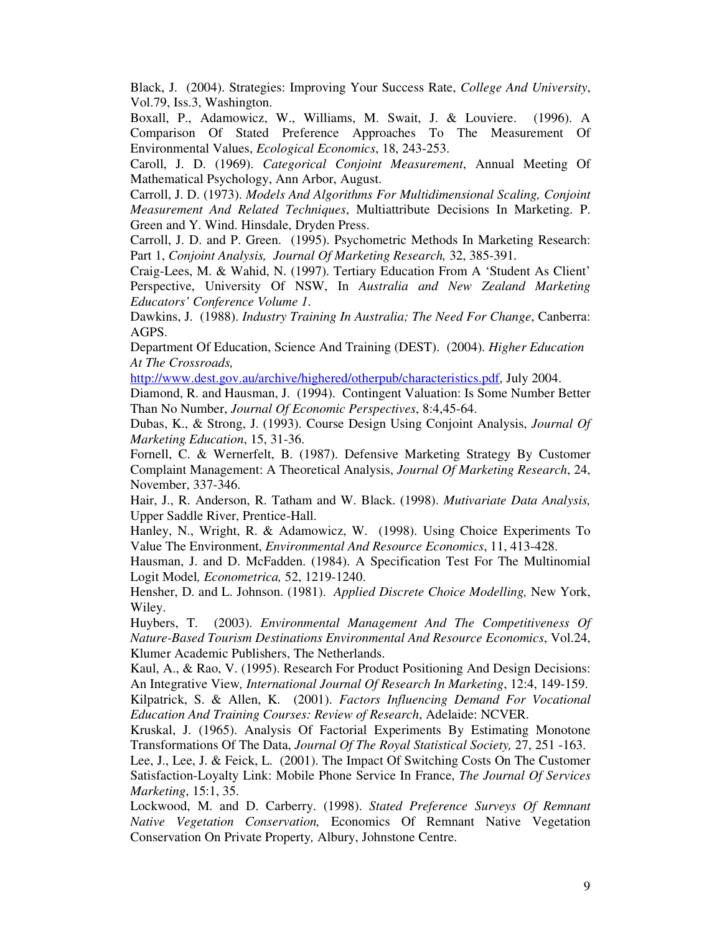Black, J. (2004). Strategies: Improving Your Success Rate, *College And University*, Vol.79, Iss.3, Washington.

Boxall, P., Adamowicz, W., Williams, M. Swait, J. & Louviere. (1996). A Comparison Of Stated Preference Approaches To The Measurement Of Environmental Values, *Ecological Economics*, 18, 243-253.

Caroll, J. D. (1969). *Categorical Conjoint Measurement*, Annual Meeting Of Mathematical Psychology, Ann Arbor, August.

Carroll, J. D. (1973). *Models And Algorithms For Multidimensional Scaling, Conjoint Measurement And Related Techniques*, Multiattribute Decisions In Marketing. P. Green and Y. Wind. Hinsdale, Dryden Press.

Carroll, J. D. and P. Green. (1995). Psychometric Methods In Marketing Research: Part 1, *Conjoint Analysis, Journal Of Marketing Research,* 32, 385-391.

Craig-Lees, M. & Wahid, N. (1997). Tertiary Education From A 'Student As Client' Perspective, University Of NSW, In *Australia and New Zealand Marketing Educators' Conference Volume 1*.

Dawkins, J. (1988). *Industry Training In Australia; The Need For Change*, Canberra: AGPS.

Department Of Education, Science And Training (DEST). (2004). *Higher Education At The Crossroads,*

http://www.dest.gov.au/archive/highered/otherpub/characteristics.pdf, July 2004.

Diamond, R. and Hausman, J. (1994). Contingent Valuation: Is Some Number Better Than No Number, *Journal Of Economic Perspectives*, 8:4,45-64.

Dubas, K., & Strong, J. (1993). Course Design Using Conjoint Analysis, *Journal Of Marketing Education*, 15, 31-36.

Fornell, C. & Wernerfelt, B. (1987). Defensive Marketing Strategy By Customer Complaint Management: A Theoretical Analysis, *Journal Of Marketing Research*, 24, November, 337-346.

Hair, J., R. Anderson, R. Tatham and W. Black. (1998). *Mutivariate Data Analysis,* Upper Saddle River, Prentice-Hall.

Hanley, N., Wright, R. & Adamowicz, W. (1998). Using Choice Experiments To Value The Environment, *Environmental And Resource Economics*, 11, 413-428.

Hausman, J. and D. McFadden. (1984). A Specification Test For The Multinomial Logit Model*, Econometrica,* 52, 1219-1240.

Hensher, D. and L. Johnson. (1981). *Applied Discrete Choice Modelling,* New York, Wiley.

Huybers, T. (2003). *Environmental Management And The Competitiveness Of Nature-Based Tourism Destinations Environmental And Resource Economics*, Vol.24, Klumer Academic Publishers, The Netherlands.

Kaul, A., & Rao, V. (1995). Research For Product Positioning And Design Decisions: An Integrative View*, International Journal Of Research In Marketing*, 12:4, 149-159. Kilpatrick, S. & Allen, K. (2001). *Factors Influencing Demand For Vocational Education And Training Courses: Review of Research*, Adelaide: NCVER.

Kruskal, J. (1965). Analysis Of Factorial Experiments By Estimating Monotone Transformations Of The Data, *Journal Of The Royal Statistical Society,* 27, 251 -163.

Lee, J., Lee, J. & Feick, L. (2001). The Impact Of Switching Costs On The Customer Satisfaction-Loyalty Link: Mobile Phone Service In France, *The Journal Of Services Marketing*, 15:1, 35.

Lockwood, M. and D. Carberry. (1998). *Stated Preference Surveys Of Remnant Native Vegetation Conservation,* Economics Of Remnant Native Vegetation Conservation On Private Property*,* Albury, Johnstone Centre.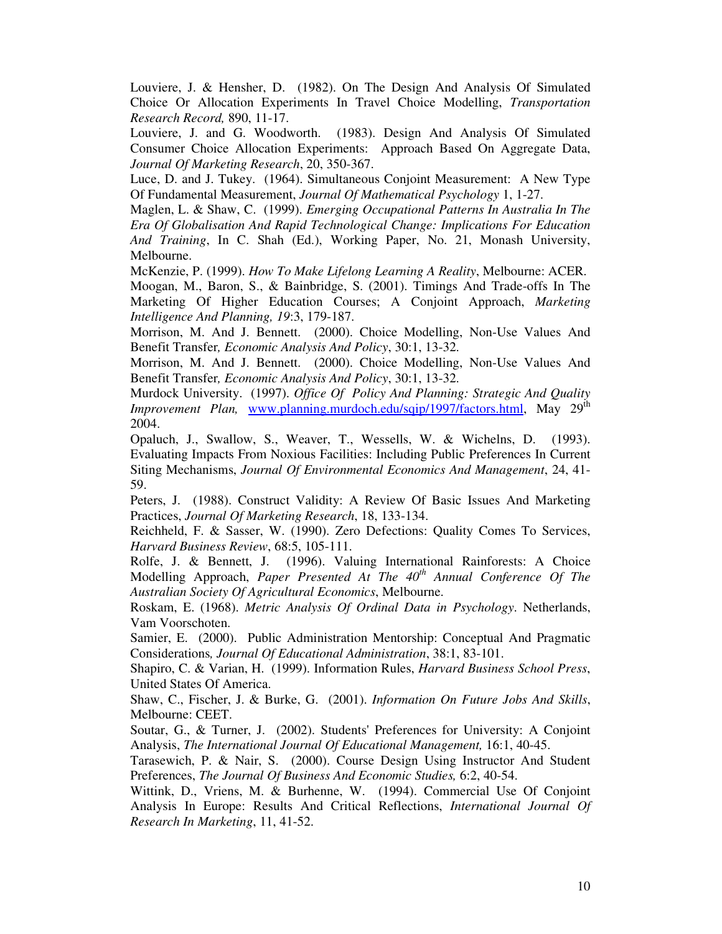Louviere, J. & Hensher, D. (1982). On The Design And Analysis Of Simulated Choice Or Allocation Experiments In Travel Choice Modelling, *Transportation Research Record,* 890, 11-17.

Louviere, J. and G. Woodworth. (1983). Design And Analysis Of Simulated Consumer Choice Allocation Experiments: Approach Based On Aggregate Data, *Journal Of Marketing Research*, 20, 350-367.

Luce, D. and J. Tukey. (1964). Simultaneous Conjoint Measurement: A New Type Of Fundamental Measurement, *Journal Of Mathematical Psychology* 1, 1-27.

Maglen, L. & Shaw, C. (1999). *Emerging Occupational Patterns In Australia In The Era Of Globalisation And Rapid Technological Change: Implications For Education And Training*, In C. Shah (Ed.), Working Paper, No. 21, Monash University, Melbourne.

McKenzie, P. (1999). *How To Make Lifelong Learning A Reality*, Melbourne: ACER.

Moogan, M., Baron, S., & Bainbridge, S. (2001). Timings And Trade-offs In The Marketing Of Higher Education Courses; A Conjoint Approach, *Marketing Intelligence And Planning, 19*:3, 179-187.

Morrison, M. And J. Bennett. (2000). Choice Modelling, Non-Use Values And Benefit Transfer*, Economic Analysis And Policy*, 30:1, 13-32.

Morrison, M. And J. Bennett. (2000). Choice Modelling, Non-Use Values And Benefit Transfer*, Economic Analysis And Policy*, 30:1, 13-32.

Murdock University. (1997). *Office Of Policy And Planning: Strategic And Quality Improvement Plan,* www.planning.murdoch.edu/sqip/1997/factors.html, May 29<sup>th</sup> 2004.

Opaluch, J., Swallow, S., Weaver, T., Wessells, W. & Wichelns, D. (1993). Evaluating Impacts From Noxious Facilities: Including Public Preferences In Current Siting Mechanisms, *Journal Of Environmental Economics And Management*, 24, 41- 59.

Peters, J. (1988). Construct Validity: A Review Of Basic Issues And Marketing Practices, *Journal Of Marketing Research*, 18, 133-134.

Reichheld, F. & Sasser, W. (1990). Zero Defections: Quality Comes To Services, *Harvard Business Review*, 68:5, 105-111.

Rolfe, J. & Bennett, J. (1996). Valuing International Rainforests: A Choice Modelling Approach, *Paper Presented At The 40 th Annual Conference Of The Australian Society Of Agricultural Economics*, Melbourne.

Roskam, E. (1968). *Metric Analysis Of Ordinal Data in Psychology*. Netherlands, Vam Voorschoten.

Samier, E. (2000). Public Administration Mentorship: Conceptual And Pragmatic Considerations*, Journal Of Educational Administration*, 38:1, 83-101.

Shapiro, C. & Varian, H. (1999). Information Rules, *Harvard Business School Press*, United States Of America.

Shaw, C., Fischer, J. & Burke, G. (2001). *Information On Future Jobs And Skills*, Melbourne: CEET.

Soutar, G., & Turner, J. (2002). Students' Preferences for University: A Conjoint Analysis, *The International Journal Of Educational Management,* 16:1, 40-45.

Tarasewich, P. & Nair, S. (2000). Course Design Using Instructor And Student Preferences, *The Journal Of Business And Economic Studies,* 6:2, 40-54.

Wittink, D., Vriens, M. & Burhenne, W. (1994). Commercial Use Of Conjoint Analysis In Europe: Results And Critical Reflections, *International Journal Of Research In Marketing*, 11, 41-52.